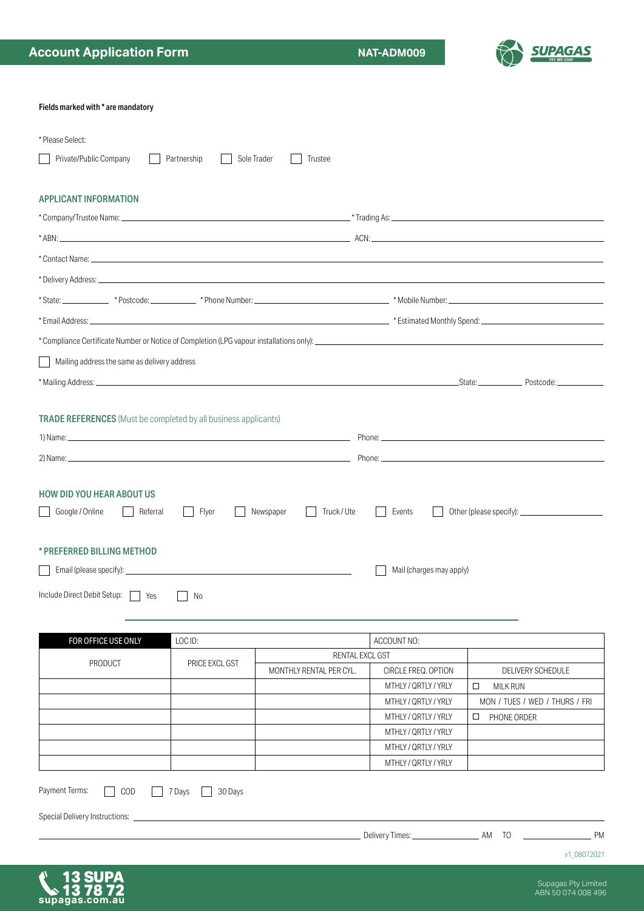v1\_08072021

| <b>APPLICANT INFORMATION</b>                                           |                   |                          |                                              |                                |  |  |  |
|------------------------------------------------------------------------|-------------------|--------------------------|----------------------------------------------|--------------------------------|--|--|--|
|                                                                        |                   |                          |                                              |                                |  |  |  |
|                                                                        |                   |                          |                                              |                                |  |  |  |
|                                                                        |                   |                          |                                              |                                |  |  |  |
|                                                                        |                   |                          |                                              |                                |  |  |  |
|                                                                        |                   |                          |                                              |                                |  |  |  |
|                                                                        |                   |                          |                                              |                                |  |  |  |
|                                                                        |                   |                          |                                              |                                |  |  |  |
| Mailing address the same as delivery address                           |                   |                          |                                              |                                |  |  |  |
|                                                                        |                   |                          |                                              |                                |  |  |  |
|                                                                        |                   |                          |                                              |                                |  |  |  |
| <b>TRADE REFERENCES</b> (Must be completed by all business applicants) |                   |                          |                                              |                                |  |  |  |
|                                                                        |                   |                          |                                              |                                |  |  |  |
|                                                                        |                   |                          |                                              |                                |  |  |  |
|                                                                        |                   |                          |                                              |                                |  |  |  |
| <b>HOW DID YOU HEAR ABOUT US</b>                                       |                   |                          |                                              |                                |  |  |  |
| Google / Online                                                        | Flyer<br>Referral | Newspaper<br>Truck / Ute | Events                                       |                                |  |  |  |
|                                                                        |                   |                          |                                              |                                |  |  |  |
| * PREFERRED BILLING METHOD                                             |                   |                          |                                              |                                |  |  |  |
|                                                                        |                   |                          | Mail (charges may apply)                     |                                |  |  |  |
|                                                                        | No                |                          |                                              |                                |  |  |  |
|                                                                        |                   |                          |                                              |                                |  |  |  |
| FOR OFFICE USE ONLY                                                    | LOC ID:           |                          | ACCOUNT NO:                                  |                                |  |  |  |
|                                                                        |                   | RENTAL EXCL GST          |                                              |                                |  |  |  |
| <b>PRODUCT</b>                                                         | PRICE EXCL GST    | MONTHLY RENTAL PER CYL.  | CIRCLE FREQ. OPTION                          | DELIVERY SCHEDULE              |  |  |  |
|                                                                        |                   |                          | MTHLY / QRTLY / YRLY                         | <b>MILK RUN</b><br>□           |  |  |  |
|                                                                        |                   |                          | MTHLY / QRTLY / YRLY                         | MON / TUES / WED / THURS / FRI |  |  |  |
|                                                                        |                   |                          | MTHLY / QRTLY / YRLY                         | PHONE ORDER<br>□               |  |  |  |
|                                                                        |                   |                          | MTHLY / QRTLY / YRLY                         |                                |  |  |  |
| Include Direct Debit Setup: 78                                         |                   |                          | MTHLY / QRTLY / YRLY<br>MTHLY / QRTLY / YRLY |                                |  |  |  |

**Account Application Form NAT-ADM009** 

Fields marked with \* are mandatory

\* Please Select:



Delivery Times: AM TO PM



Special Delivery Instructions: